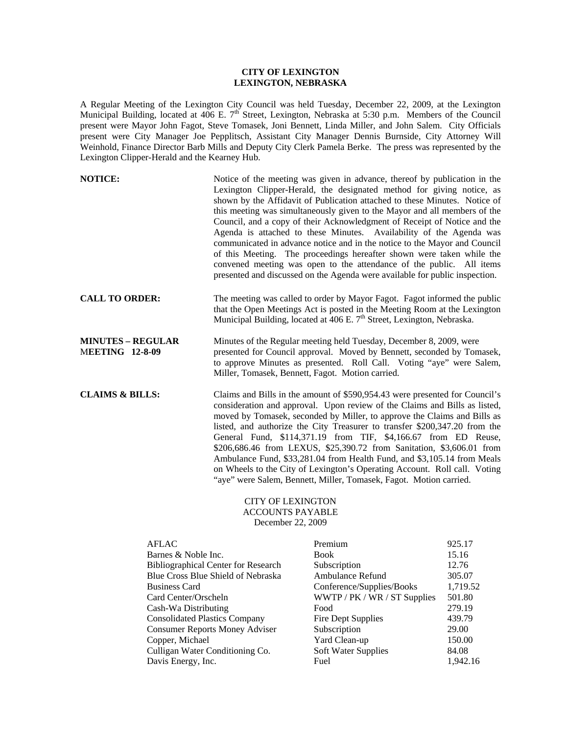## **CITY OF LEXINGTON LEXINGTON, NEBRASKA**

A Regular Meeting of the Lexington City Council was held Tuesday, December 22, 2009, at the Lexington Municipal Building, located at 406 E. 7<sup>th</sup> Street, Lexington, Nebraska at 5:30 p.m. Members of the Council present were Mayor John Fagot, Steve Tomasek, Joni Bennett, Linda Miller, and John Salem. City Officials present were City Manager Joe Pepplitsch, Assistant City Manager Dennis Burnside, City Attorney Will Weinhold, Finance Director Barb Mills and Deputy City Clerk Pamela Berke. The press was represented by the Lexington Clipper-Herald and the Kearney Hub.

| <b>NOTICE:</b>                                     | Notice of the meeting was given in advance, thereof by publication in the<br>Lexington Clipper-Herald, the designated method for giving notice, as<br>shown by the Affidavit of Publication attached to these Minutes. Notice of<br>this meeting was simultaneously given to the Mayor and all members of the<br>Council, and a copy of their Acknowledgment of Receipt of Notice and the<br>Agenda is attached to these Minutes. Availability of the Agenda was<br>communicated in advance notice and in the notice to the Mayor and Council<br>of this Meeting. The proceedings hereafter shown were taken while the<br>convened meeting was open to the attendance of the public. All items<br>presented and discussed on the Agenda were available for public inspection. |
|----------------------------------------------------|-------------------------------------------------------------------------------------------------------------------------------------------------------------------------------------------------------------------------------------------------------------------------------------------------------------------------------------------------------------------------------------------------------------------------------------------------------------------------------------------------------------------------------------------------------------------------------------------------------------------------------------------------------------------------------------------------------------------------------------------------------------------------------|
| <b>CALL TO ORDER:</b>                              | The meeting was called to order by Mayor Fagot. Fagot informed the public<br>that the Open Meetings Act is posted in the Meeting Room at the Lexington<br>Municipal Building, located at 406 E. 7 <sup>th</sup> Street, Lexington, Nebraska.                                                                                                                                                                                                                                                                                                                                                                                                                                                                                                                                  |
| <b>MINUTES - REGULAR</b><br><b>MEETING 12-8-09</b> | Minutes of the Regular meeting held Tuesday, December 8, 2009, were<br>presented for Council approval. Moved by Bennett, seconded by Tomasek,<br>to approve Minutes as presented. Roll Call. Voting "aye" were Salem,<br>Miller, Tomasek, Bennett, Fagot. Motion carried.                                                                                                                                                                                                                                                                                                                                                                                                                                                                                                     |
| <b>CLAIMS &amp; BILLS:</b>                         | Claims and Bills in the amount of \$590,954.43 were presented for Council's<br>consideration and approval. Upon review of the Claims and Bills as listed,<br>moved by Tomasek, seconded by Miller, to approve the Claims and Bills as<br>listed, and authorize the City Treasurer to transfer \$200,347.20 from the<br>General Fund, \$114,371.19 from TIF, \$4,166.67 from ED Reuse,<br>\$206,686.46 from LEXUS, \$25,390.72 from Sanitation, \$3,606.01 from<br>Ambulance Fund, \$33,281.04 from Health Fund, and \$3,105.14 from Meals<br>on Wheels to the City of Lexington's Operating Account. Roll call. Voting<br>"aye" were Salem, Bennett, Miller, Tomasek, Fagot. Motion carried.                                                                                  |

## CITY OF LEXINGTON ACCOUNTS PAYABLE December 22, 2009

| <b>AFLAC</b>                               | Premium                      | 925.17   |
|--------------------------------------------|------------------------------|----------|
| Barnes & Noble Inc.                        | Book                         | 15.16    |
| <b>Bibliographical Center for Research</b> | Subscription                 | 12.76    |
| Blue Cross Blue Shield of Nebraska         | Ambulance Refund             | 305.07   |
| <b>Business Card</b>                       | Conference/Supplies/Books    | 1,719.52 |
| Card Center/Orscheln                       | WWTP / PK / WR / ST Supplies | 501.80   |
| Cash-Wa Distributing                       | Food                         | 279.19   |
| <b>Consolidated Plastics Company</b>       | Fire Dept Supplies           | 439.79   |
| <b>Consumer Reports Money Adviser</b>      | Subscription                 | 29.00    |
| Copper, Michael                            | Yard Clean-up                | 150.00   |
| Culligan Water Conditioning Co.            | <b>Soft Water Supplies</b>   | 84.08    |
| Davis Energy, Inc.                         | Fuel                         | 1.942.16 |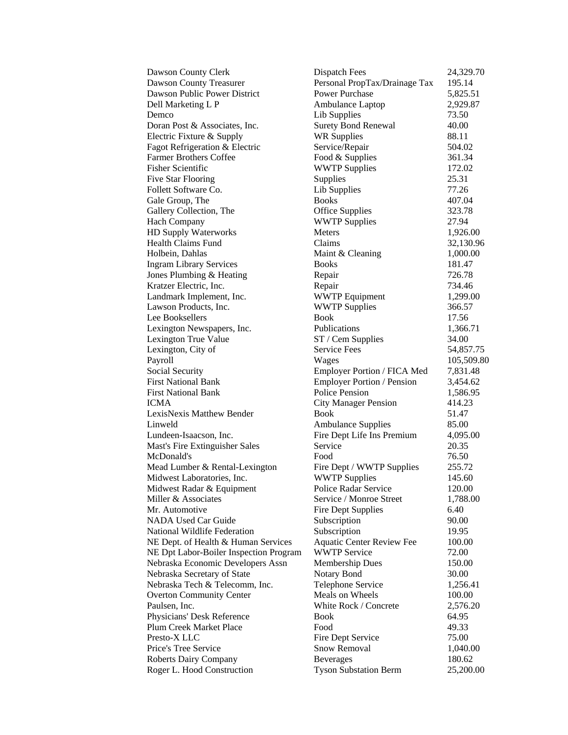| Dawson County Clerk                    | <b>Dispatch Fees</b>             | 24,329.70  |
|----------------------------------------|----------------------------------|------------|
| <b>Dawson County Treasurer</b>         | Personal PropTax/Drainage Tax    | 195.14     |
| Dawson Public Power District           | <b>Power Purchase</b>            | 5,825.51   |
| Dell Marketing L P                     | Ambulance Laptop                 | 2,929.87   |
| Demco                                  | Lib Supplies                     | 73.50      |
| Doran Post & Associates, Inc.          | <b>Surety Bond Renewal</b>       | 40.00      |
| Electric Fixture & Supply              | <b>WR Supplies</b>               | 88.11      |
| Fagot Refrigeration & Electric         | Service/Repair                   | 504.02     |
| <b>Farmer Brothers Coffee</b>          | Food & Supplies                  | 361.34     |
| <b>Fisher Scientific</b>               | <b>WWTP Supplies</b>             | 172.02     |
| <b>Five Star Flooring</b>              | Supplies                         | 25.31      |
| Follett Software Co.                   | Lib Supplies                     | 77.26      |
| Gale Group, The                        | <b>Books</b>                     | 407.04     |
| Gallery Collection, The                | <b>Office Supplies</b>           | 323.78     |
| <b>Hach Company</b>                    | <b>WWTP Supplies</b>             | 27.94      |
| HD Supply Waterworks                   | <b>Meters</b>                    | 1,926.00   |
| Health Claims Fund                     | Claims                           | 32,130.96  |
| Holbein, Dahlas                        | Maint & Cleaning                 | 1,000.00   |
| <b>Ingram Library Services</b>         | <b>Books</b>                     | 181.47     |
| Jones Plumbing & Heating               | Repair                           | 726.78     |
| Kratzer Electric, Inc.                 | Repair                           | 734.46     |
| Landmark Implement, Inc.               | <b>WWTP</b> Equipment            | 1,299.00   |
| Lawson Products, Inc.                  | <b>WWTP Supplies</b>             | 366.57     |
| Lee Booksellers                        | <b>Book</b>                      | 17.56      |
| Lexington Newspapers, Inc.             | Publications                     | 1,366.71   |
| Lexington True Value                   | ST / Cem Supplies                | 34.00      |
| Lexington, City of                     | <b>Service Fees</b>              | 54,857.75  |
| Payroll                                | Wages                            | 105,509.80 |
| <b>Social Security</b>                 | Employer Portion / FICA Med      | 7,831.48   |
| <b>First National Bank</b>             | Employer Portion / Pension       | 3,454.62   |
| <b>First National Bank</b>             | <b>Police Pension</b>            | 1,586.95   |
| ICMA                                   | <b>City Manager Pension</b>      | 414.23     |
| LexisNexis Matthew Bender              | <b>Book</b>                      | 51.47      |
| Linweld                                | <b>Ambulance Supplies</b>        | 85.00      |
| Lundeen-Isaacson, Inc.                 | Fire Dept Life Ins Premium       | 4,095.00   |
| Mast's Fire Extinguisher Sales         | Service                          | 20.35      |
| McDonald's                             | Food                             | 76.50      |
| Mead Lumber & Rental-Lexington         | Fire Dept / WWTP Supplies        | 255.72     |
| Midwest Laboratories, Inc.             | <b>WWTP Supplies</b>             | 145.60     |
| Midwest Radar & Equipment              | Police Radar Service             | 120.00     |
| Miller & Associates                    | Service / Monroe Street          | 1,788.00   |
| Mr. Automotive                         | <b>Fire Dept Supplies</b>        | 6.40       |
| <b>NADA Used Car Guide</b>             | Subscription                     | 90.00      |
| National Wildlife Federation           | Subscription                     | 19.95      |
| NE Dept. of Health & Human Services    | <b>Aquatic Center Review Fee</b> | 100.00     |
| NE Dpt Labor-Boiler Inspection Program | <b>WWTP Service</b>              | 72.00      |
| Nebraska Economic Developers Assn      | Membership Dues                  | 150.00     |
| Nebraska Secretary of State            | Notary Bond                      | 30.00      |
| Nebraska Tech & Telecomm, Inc.         | Telephone Service                | 1,256.41   |
| <b>Overton Community Center</b>        | Meals on Wheels                  | 100.00     |
| Paulsen, Inc.                          | White Rock / Concrete            | 2,576.20   |
| Physicians' Desk Reference             | <b>Book</b>                      | 64.95      |
| Plum Creek Market Place                | Food                             | 49.33      |
| Presto-X LLC                           | Fire Dept Service                | 75.00      |
| Price's Tree Service                   | Snow Removal                     | 1,040.00   |
| <b>Roberts Dairy Company</b>           | <b>Beverages</b>                 | 180.62     |
| Roger L. Hood Construction             | <b>Tyson Substation Berm</b>     | 25,200.00  |
|                                        |                                  |            |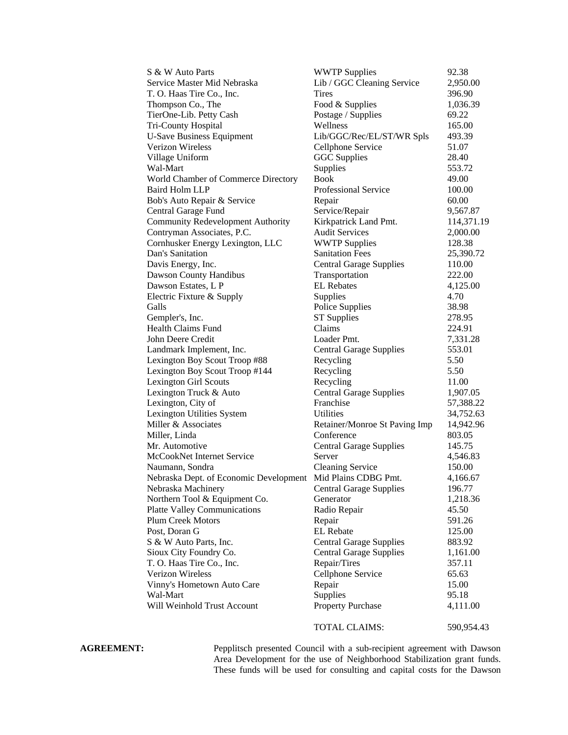| S & W Auto Parts                                            | <b>WWTP Supplies</b>           | 92.38      |
|-------------------------------------------------------------|--------------------------------|------------|
| Service Master Mid Nebraska                                 | Lib / GGC Cleaning Service     | 2,950.00   |
| T. O. Haas Tire Co., Inc.                                   | <b>Tires</b>                   | 396.90     |
| Thompson Co., The                                           | Food & Supplies                | 1,036.39   |
| TierOne-Lib. Petty Cash                                     | Postage / Supplies             | 69.22      |
| Tri-County Hospital                                         | Wellness                       | 165.00     |
| <b>U-Save Business Equipment</b>                            | Lib/GGC/Rec/EL/ST/WR Spls      | 493.39     |
| Verizon Wireless                                            | Cellphone Service              | 51.07      |
| Village Uniform                                             | <b>GGC</b> Supplies            | 28.40      |
| Wal-Mart                                                    | Supplies                       | 553.72     |
| World Chamber of Commerce Directory                         | <b>Book</b>                    | 49.00      |
| <b>Baird Holm LLP</b>                                       | Professional Service           | 100.00     |
| Bob's Auto Repair & Service                                 | Repair                         | 60.00      |
| Central Garage Fund                                         | Service/Repair                 | 9,567.87   |
| <b>Community Redevelopment Authority</b>                    | Kirkpatrick Land Pmt.          | 114,371.19 |
| Contryman Associates, P.C.                                  | <b>Audit Services</b>          | 2,000.00   |
| Cornhusker Energy Lexington, LLC                            | <b>WWTP Supplies</b>           | 128.38     |
| Dan's Sanitation                                            | <b>Sanitation Fees</b>         | 25,390.72  |
| Davis Energy, Inc.                                          | <b>Central Garage Supplies</b> | 110.00     |
| Dawson County Handibus                                      | Transportation                 | 222.00     |
| Dawson Estates, L P                                         | <b>EL</b> Rebates              | 4,125.00   |
| Electric Fixture & Supply                                   | Supplies                       | 4.70       |
| Galls                                                       | Police Supplies                | 38.98      |
| Gempler's, Inc.                                             | <b>ST Supplies</b>             | 278.95     |
| Health Claims Fund                                          | Claims                         | 224.91     |
| John Deere Credit                                           | Loader Pmt.                    | 7,331.28   |
| Landmark Implement, Inc.                                    | <b>Central Garage Supplies</b> | 553.01     |
| Lexington Boy Scout Troop #88                               | Recycling                      | 5.50       |
| Lexington Boy Scout Troop #144                              | Recycling                      | 5.50       |
| <b>Lexington Girl Scouts</b>                                | Recycling                      | 11.00      |
| Lexington Truck & Auto                                      | <b>Central Garage Supplies</b> | 1,907.05   |
| Lexington, City of                                          | Franchise                      | 57,388.22  |
| Lexington Utilities System                                  | Utilities                      | 34,752.63  |
| Miller & Associates                                         | Retainer/Monroe St Paving Imp  | 14,942.96  |
| Miller, Linda                                               | Conference                     | 803.05     |
| Mr. Automotive                                              | <b>Central Garage Supplies</b> | 145.75     |
| McCookNet Internet Service                                  | Server                         | 4,546.83   |
| Naumann, Sondra                                             | <b>Cleaning Service</b>        | 150.00     |
| Nebraska Dept. of Economic Development Mid Plains CDBG Pmt. |                                | 4,166.67   |
| Nebraska Machinery                                          | <b>Central Garage Supplies</b> | 196.77     |
| Northern Tool & Equipment Co.                               | Generator                      | 1,218.36   |
| <b>Platte Valley Communications</b>                         | Radio Repair                   | 45.50      |
| <b>Plum Creek Motors</b>                                    | Repair                         | 591.26     |
| Post, Doran G                                               | <b>EL</b> Rebate               | 125.00     |
| S & W Auto Parts, Inc.                                      | <b>Central Garage Supplies</b> | 883.92     |
| Sioux City Foundry Co.                                      | <b>Central Garage Supplies</b> | 1,161.00   |
| T. O. Haas Tire Co., Inc.                                   | Repair/Tires                   | 357.11     |
| Verizon Wireless                                            | Cellphone Service              | 65.63      |
|                                                             |                                |            |
| Vinny's Hometown Auto Care                                  | Repair                         | 15.00      |
| Wal-Mart                                                    | Supplies                       | 95.18      |
| Will Weinhold Trust Account                                 | Property Purchase              | 4,111.00   |
|                                                             | TOTAL CLAIMS:                  | 590,954.43 |

**AGREEMENT:** Pepplitsch presented Council with a sub-recipient agreement with Dawson Area Development for the use of Neighborhood Stabilization grant funds. These funds will be used for consulting and capital costs for the Dawson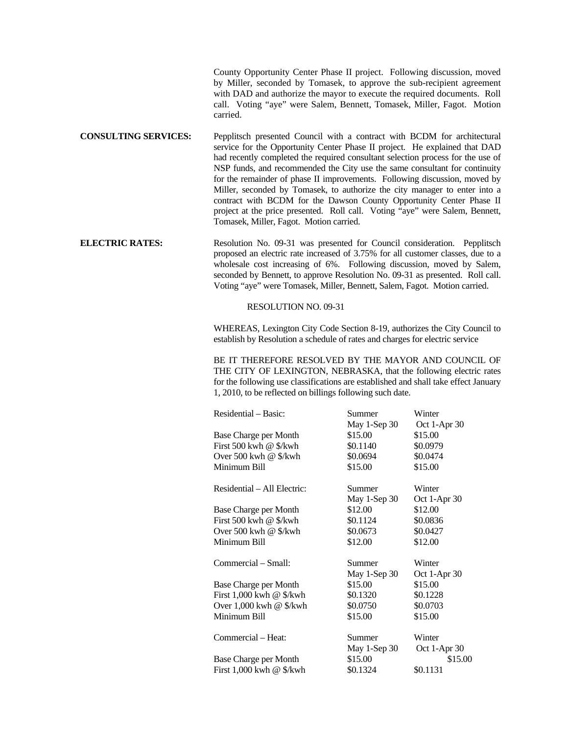County Opportunity Center Phase II project. Following discussion, moved by Miller, seconded by Tomasek, to approve the sub-recipient agreement with DAD and authorize the mayor to execute the required documents. Roll call. Voting "aye" were Salem, Bennett, Tomasek, Miller, Fagot. Motion carried.

**CONSULTING SERVICES:** Pepplitsch presented Council with a contract with BCDM for architectural service for the Opportunity Center Phase II project. He explained that DAD had recently completed the required consultant selection process for the use of NSP funds, and recommended the City use the same consultant for continuity for the remainder of phase II improvements. Following discussion, moved by Miller, seconded by Tomasek, to authorize the city manager to enter into a contract with BCDM for the Dawson County Opportunity Center Phase II project at the price presented. Roll call. Voting "aye" were Salem, Bennett, Tomasek, Miller, Fagot. Motion carried.

**ELECTRIC RATES:** Resolution No. 09-31 was presented for Council consideration. Pepplitsch proposed an electric rate increased of 3.75% for all customer classes, due to a wholesale cost increasing of 6%. Following discussion, moved by Salem, seconded by Bennett, to approve Resolution No. 09-31 as presented. Roll call. Voting "aye" were Tomasek, Miller, Bennett, Salem, Fagot. Motion carried.

RESOLUTION NO. 09-31

WHEREAS, Lexington City Code Section 8-19, authorizes the City Council to establish by Resolution a schedule of rates and charges for electric service

BE IT THEREFORE RESOLVED BY THE MAYOR AND COUNCIL OF THE CITY OF LEXINGTON, NEBRASKA, that the following electric rates for the following use classifications are established and shall take effect January 1, 2010, to be reflected on billings following such date.

| Residential – Basic:              | Summer       | Winter         |
|-----------------------------------|--------------|----------------|
|                                   | May 1-Sep 30 | Oct 1-Apr 30   |
| Base Charge per Month             | \$15.00      | \$15.00        |
| First 500 kwh @ $\frac{1}{2}$ kwh | \$0.1140     | \$0.0979       |
| Over 500 kwh @ \$/kwh             | \$0.0694     | \$0.0474       |
| Minimum Bill                      | \$15.00      | \$15.00        |
| Residential – All Electric:       | Summer       | Winter         |
|                                   | May 1-Sep 30 | Oct 1-Apr 30   |
| Base Charge per Month             | \$12.00      | \$12.00        |
| First 500 kwh @ \$/kwh            | \$0.1124     | \$0.0836       |
| Over 500 kwh @ \$/kwh             | \$0.0673     | \$0.0427       |
| Minimum Bill                      | \$12.00      | \$12.00        |
| Commercial – Small:               | Summer       | Winter         |
|                                   | May 1-Sep 30 | Oct 1-Apr $30$ |
| Base Charge per Month             | \$15.00      | \$15.00        |
| First $1,000$ kwh @ \$/kwh        | \$0.1320     | \$0.1228       |
| Over $1,000$ kwh @ \$/kwh         | \$0.0750     | \$0.0703       |
| Minimum Bill                      | \$15.00      | \$15.00        |
| Commercial – Heat:                | Summer       | Winter         |
|                                   | May 1-Sep 30 | Oct 1-Apr 30   |
| Base Charge per Month             | \$15.00      | \$15.00        |
| First $1,000$ kwh @ \$/kwh        | \$0.1324     | \$0.1131       |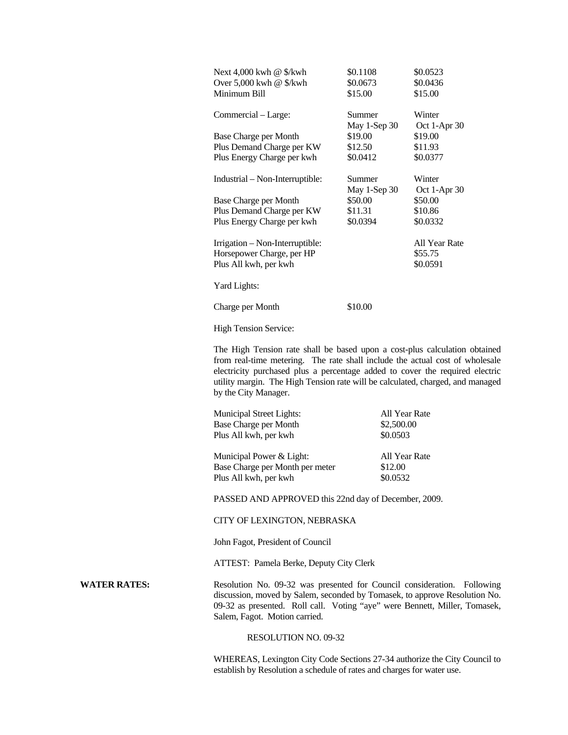| Next $4,000$ kwh @ \$/kwh       | \$0.1108     | \$0.0523      |
|---------------------------------|--------------|---------------|
| Over 5,000 kwh @ \$/kwh         | \$0.0673     | \$0.0436      |
| Minimum Bill                    | \$15.00      | \$15.00       |
| Commercial – Large:             | Summer       | Winter        |
|                                 | May 1-Sep 30 | Oct 1-Apr 30  |
| Base Charge per Month           | \$19.00      | \$19.00       |
| Plus Demand Charge per KW       | \$12.50      | \$11.93       |
| Plus Energy Charge per kwh      | \$0.0412     | \$0.0377      |
|                                 |              |               |
| Industrial – Non-Interruptible: | Summer       | Winter        |
|                                 | May 1-Sep 30 | Oct 1-Apr 30  |
| Base Charge per Month           | \$50.00      | \$50.00       |
| Plus Demand Charge per KW       | \$11.31      | \$10.86       |
| Plus Energy Charge per kwh      | \$0.0394     | \$0.0332      |
| Irrigation - Non-Interruptible: |              | All Year Rate |
| Horsepower Charge, per HP       |              | \$55.75       |
| Plus All kwh, per kwh           |              | \$0.0591      |
|                                 |              |               |
| Yard Lights:                    |              |               |
| Charge per Month                | \$10.00      |               |
|                                 |              |               |
| <b>High Tension Service:</b>    |              |               |

The High Tension rate shall be based upon a cost-plus calculation obtained from real-time metering. The rate shall include the actual cost of wholesale electricity purchased plus a percentage added to cover the required electric utility margin. The High Tension rate will be calculated, charged, and managed by the City Manager.

| <b>Municipal Street Lights:</b><br>Base Charge per Month<br>Plus All kwh, per kwh | All Year Rate<br>\$2,500.00<br>\$0.0503 |
|-----------------------------------------------------------------------------------|-----------------------------------------|
| Municipal Power & Light:                                                          | All Year Rate                           |
| Base Charge per Month per meter                                                   | \$12.00                                 |
| Plus All kwh, per kwh                                                             | \$0.0532                                |

PASSED AND APPROVED this 22nd day of December, 2009.

## CITY OF LEXINGTON, NEBRASKA

John Fagot, President of Council

ATTEST: Pamela Berke, Deputy City Clerk

WATER RATES: Resolution No. 09-32 was presented for Council consideration. Following discussion, moved by Salem, seconded by Tomasek, to approve Resolution No. 09-32 as presented. Roll call. Voting "aye" were Bennett, Miller, Tomasek, Salem, Fagot. Motion carried.

## RESOLUTION NO. 09-32

WHEREAS, Lexington City Code Sections 27-34 authorize the City Council to establish by Resolution a schedule of rates and charges for water use.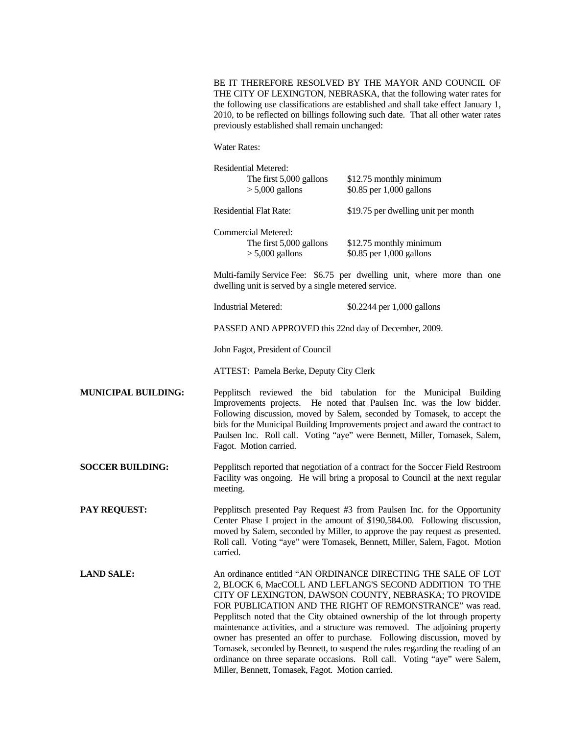BE IT THEREFORE RESOLVED BY THE MAYOR AND COUNCIL OF THE CITY OF LEXINGTON, NEBRASKA, that the following water rates for the following use classifications are established and shall take effect January 1, 2010, to be reflected on billings following such date. That all other water rates previously established shall remain unchanged:

Water Rates:

|                            | <b>Residential Metered:</b>                                                                                                                                                                                                                                                                                                                                                                                                                                                                                                                                                                                                                                 | The first 5,000 gallons<br>$> 5,000$ gallons | \$12.75 monthly minimum<br>\$0.85 per 1,000 gallons |
|----------------------------|-------------------------------------------------------------------------------------------------------------------------------------------------------------------------------------------------------------------------------------------------------------------------------------------------------------------------------------------------------------------------------------------------------------------------------------------------------------------------------------------------------------------------------------------------------------------------------------------------------------------------------------------------------------|----------------------------------------------|-----------------------------------------------------|
|                            | <b>Residential Flat Rate:</b>                                                                                                                                                                                                                                                                                                                                                                                                                                                                                                                                                                                                                               |                                              | \$19.75 per dwelling unit per month                 |
|                            | Commercial Metered:                                                                                                                                                                                                                                                                                                                                                                                                                                                                                                                                                                                                                                         | The first 5,000 gallons<br>$> 5,000$ gallons | \$12.75 monthly minimum<br>\$0.85 per 1,000 gallons |
|                            | Multi-family Service Fee: \$6.75 per dwelling unit, where more than one<br>dwelling unit is served by a single metered service.<br><b>Industrial Metered:</b><br>\$0.2244 per 1,000 gallons<br>PASSED AND APPROVED this 22nd day of December, 2009.<br>John Fagot, President of Council<br>ATTEST: Pamela Berke, Deputy City Clerk                                                                                                                                                                                                                                                                                                                          |                                              |                                                     |
|                            |                                                                                                                                                                                                                                                                                                                                                                                                                                                                                                                                                                                                                                                             |                                              |                                                     |
|                            |                                                                                                                                                                                                                                                                                                                                                                                                                                                                                                                                                                                                                                                             |                                              |                                                     |
|                            |                                                                                                                                                                                                                                                                                                                                                                                                                                                                                                                                                                                                                                                             |                                              |                                                     |
|                            |                                                                                                                                                                                                                                                                                                                                                                                                                                                                                                                                                                                                                                                             |                                              |                                                     |
| <b>MUNICIPAL BUILDING:</b> | Pepplitsch reviewed the bid tabulation for the Municipal Building<br>Improvements projects. He noted that Paulsen Inc. was the low bidder.<br>Following discussion, moved by Salem, seconded by Tomasek, to accept the<br>bids for the Municipal Building Improvements project and award the contract to<br>Paulsen Inc. Roll call. Voting "aye" were Bennett, Miller, Tomasek, Salem,<br>Fagot. Motion carried.                                                                                                                                                                                                                                            |                                              |                                                     |
| <b>SOCCER BUILDING:</b>    | Pepplitsch reported that negotiation of a contract for the Soccer Field Restroom<br>Facility was ongoing. He will bring a proposal to Council at the next regular<br>meeting.                                                                                                                                                                                                                                                                                                                                                                                                                                                                               |                                              |                                                     |
| <b>PAY REQUEST:</b>        | Pepplitsch presented Pay Request #3 from Paulsen Inc. for the Opportunity<br>Center Phase I project in the amount of \$190,584.00. Following discussion,<br>moved by Salem, seconded by Miller, to approve the pay request as presented.<br>Roll call. Voting "aye" were Tomasek, Bennett, Miller, Salem, Fagot. Motion<br>carried.                                                                                                                                                                                                                                                                                                                         |                                              |                                                     |
| <b>LAND SALE:</b>          | An ordinance entitled "AN ORDINANCE DIRECTING THE SALE OF LOT<br>2, BLOCK 6, MacCOLL AND LEFLANG'S SECOND ADDITION TO THE<br>CITY OF LEXINGTON, DAWSON COUNTY, NEBRASKA; TO PROVIDE<br>FOR PUBLICATION AND THE RIGHT OF REMONSTRANCE" was read.<br>Pepplitsch noted that the City obtained ownership of the lot through property<br>maintenance activities, and a structure was removed. The adjoining property<br>owner has presented an offer to purchase. Following discussion, moved by<br>Tomasek, seconded by Bennett, to suspend the rules regarding the reading of an<br>ordinance on three separate occasions. Roll call. Voting "aye" were Salem, |                                              |                                                     |

Miller, Bennett, Tomasek, Fagot. Motion carried.